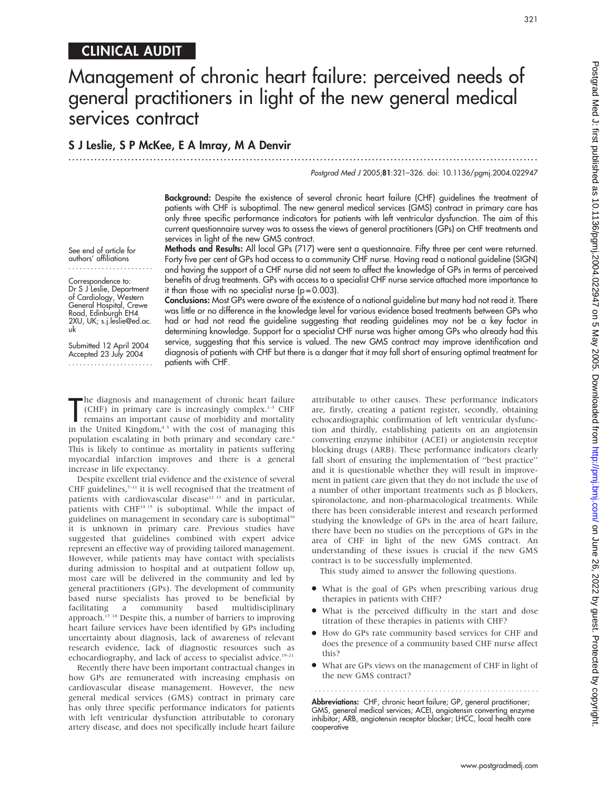## CLINICAL AUDIT

# Management of chronic heart failure: perceived needs of general practitioners in light of the new general medical services contract

...............................................................................................................................

### S J Leslie, S P McKee, E A Imray, M A Denvir

Postgrad Med J 2005;81:321–326. doi: 10.1136/pgmj.2004.022947

321

Background: Despite the existence of several chronic heart failure (CHF) guidelines the treatment of patients with CHF is suboptimal. The new general medical services (GMS) contract in primary care has only three specific performance indicators for patients with left ventricular dysfunction. The aim of this current questionnaire survey was to assess the views of general practitioners (GPs) on CHF treatments and services in light of the new GMS contract.

Methods and Results: All local GPs (717) were sent a questionnaire. Fifty three per cent were returned. Forty five per cent of GPs had access to a community CHF nurse. Having read a national guideline (SIGN) and having the support of a CHF nurse did not seem to affect the knowledge of GPs in terms of perceived benefits of drug treatments. GPs with access to a specialist CHF nurse service attached more importance to it than those with no specialist nurse  $(p = 0.003)$ .

Conclusions: Most GPs were aware of the existence of a national guideline but many had not read it. There was little or no difference in the knowledge level for various evidence based treatments between GPs who had or had not read the guideline suggesting that reading guidelines may not be a key factor in determining knowledge. Support for a specialist CHF nurse was higher among GPs who already had this service, suggesting that this service is valued. The new GMS contract may improve identification and diagnosis of patients with CHF but there is a danger that it may fall short of ensuring optimal treatment for patients with CHF.

See end of article for authors' affiliations .......................

Correspondence to: Dr S J Leslie, Department of Cardiology, Western General Hospital, Crewe Road, Edinburgh EH4 2XU, UK; s.j.leslie@ed.ac. uk

Submitted 12 April 2004 Accepted 23 July 2004 .......................

The diagnosis and management of chronic heart failure<br>(CHF) in primary care is increasingly complex.<sup>1-3</sup> CHF<br>remains an important cause of morbidity and mortality<br>in the United Kingdom,<sup>45</sup> with the cost of managing this he diagnosis and management of chronic heart failure (CHF) in primary care is increasingly complex. $1-3$  CHF remains an important cause of morbidity and mortality population escalating in both primary and secondary care.<sup>6</sup> This is likely to continue as mortality in patients suffering myocardial infarction improves and there is a general increase in life expectancy.

Despite excellent trial evidence and the existence of several CHF guidelines, $7-11$  it is well recognised that the treatment of patients with cardiovascular disease<sup>12 13</sup> and in particular, patients with CHF<sup>14 15</sup> is suboptimal. While the impact of guidelines on management in secondary care is suboptimal<sup>16</sup> it is unknown in primary care. Previous studies have suggested that guidelines combined with expert advice represent an effective way of providing tailored management. However, while patients may have contact with specialists during admission to hospital and at outpatient follow up, most care will be delivered in the community and led by general practitioners (GPs). The development of community based nurse specialists has proved to be beneficial by facilitating a community based multidisciplinary approach.<sup>17 18</sup> Despite this, a number of barriers to improving heart failure services have been identified by GPs including uncertainty about diagnosis, lack of awareness of relevant research evidence, lack of diagnostic resources such as echocardiography, and lack of access to specialist advice.<sup>19-21</sup>

Recently there have been important contractual changes in how GPs are remunerated with increasing emphasis on cardiovascular disease management. However, the new general medical services (GMS) contract in primary care has only three specific performance indicators for patients with left ventricular dysfunction attributable to coronary artery disease, and does not specifically include heart failure attributable to other causes. These performance indicators are, firstly, creating a patient register, secondly, obtaining echocardiographic confirmation of left ventricular dysfunction and thirdly, establishing patients on an angiotensin converting enzyme inhibitor (ACEI) or angiotensin receptor blocking drugs (ARB). These performance indicators clearly fall short of ensuring the implementation of ''best practice'' and it is questionable whether they will result in improvement in patient care given that they do not include the use of a number of other important treatments such as  $\beta$  blockers, spironolactone, and non-pharmacological treatments. While there has been considerable interest and research performed studying the knowledge of GPs in the area of heart failure, there have been no studies on the perceptions of GPs in the area of CHF in light of the new GMS contract. An understanding of these issues is crucial if the new GMS contract is to be successfully implemented.

This study aimed to answer the following questions.

- What is the goal of GPs when prescribing various drug therapies in patients with CHF?
- What is the perceived difficulty in the start and dose titration of these therapies in patients with CHF?
- N How do GPs rate community based services for CHF and does the presence of a community based CHF nurse affect this?
- N What are GPs views on the management of CHF in light of the new GMS contract?

Abbreviations: CHF, chronic heart failure; GP, general practitioner; GMS, general medical services; ACEI, angiotensin converting enzyme inhibitor; ARB, angiotensin receptor blocker; LHCC, local health care cooperative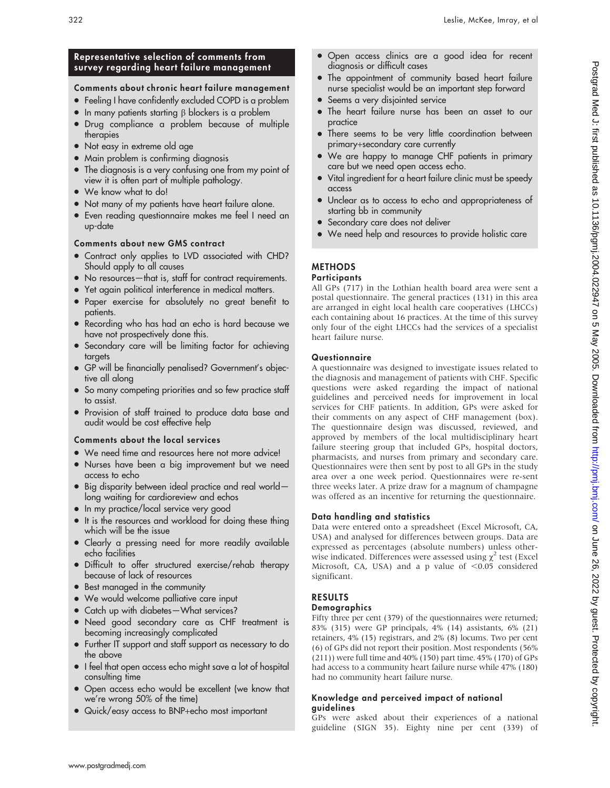### Representative selection of comments from survey regarding heart failure management

# Comments about chronic heart failure management

- Feeling I have confidently excluded COPD is a problem
- $\bullet$  In many patients starting  $\beta$  blockers is a problem
- Drug compliance a problem because of multiple therapies
- Not easy in extreme old age
- Main problem is confirming diagnosis
- The diagnosis is a very confusing one from my point of view it is often part of multiple pathology.
- We know what to do!
- Not many of my patients have heart failure alone.
- Even reading questionnaire makes me feel I need an up-date

### Comments about new GMS contract

- Contract only applies to LVD associated with CHD? Should apply to all causes
- No resources-that is, staff for contract requirements.
- Yet again political interference in medical matters.
- Paper exercise for absolutely no great benefit to patients.
- Recording who has had an echo is hard because we have not prospectively done this.
- Secondary care will be limiting factor for achieving targets
- GP will be financially penalised? Government's objective all along
- So many competing priorities and so few practice staff to assist.
- Provision of staff trained to produce data base and audit would be cost effective help

### Comments about the local services

- We need time and resources here not more advice!
- Nurses have been a big improvement but we need access to echo
- $\bullet$  Big disparity between ideal practice and real worldlong waiting for cardioreview and echos
- In my practice/local service very good
- It is the resources and workload for doing these thing which will be the issue
- Clearly a pressing need for more readily available echo facilities
- Difficult to offer structured exercise/rehab therapy because of lack of resources
- Best managed in the community
- We would welcome palliative care input
- Catch up with diabetes—What services?
- Need good secondary care as CHF treatment is becoming increasingly complicated
- Further IT support and staff support as necessary to do the above
- I feel that open access echo might save a lot of hospital consulting time
- Open access echo would be excellent (we know that we're wrong 50% of the time)
- Quick/easy access to BNP+echo most important
- N Open access clinics are a good idea for recent diagnosis or difficult cases
- The appointment of community based heart failure nurse specialist would be an important step forward
- Seems a very disjointed service
- The heart failure nurse has been an asset to our practice
- There seems to be very little coordination between primary+secondary care currently
- We are happy to manage CHF patients in primary care but we need open access echo.
- Vital ingredient for a heart failure clinic must be speedy access
- N Unclear as to access to echo and appropriateness of starting bb in community
- Secondary care does not deliver
- We need help and resources to provide holistic care

# METHODS

### **Participants**

All GPs (717) in the Lothian health board area were sent a postal questionnaire. The general practices (131) in this area are arranged in eight local health care cooperatives (LHCCs) each containing about 16 practices. At the time of this survey only four of the eight LHCCs had the services of a specialist heart failure nurse.

### **Questionnaire**

A questionnaire was designed to investigate issues related to the diagnosis and management of patients with CHF. Specific questions were asked regarding the impact of national guidelines and perceived needs for improvement in local services for CHF patients. In addition, GPs were asked for their comments on any aspect of CHF management (box). The questionnaire design was discussed, reviewed, and approved by members of the local multidisciplinary heart failure steering group that included GPs, hospital doctors, pharmacists, and nurses from primary and secondary care. Questionnaires were then sent by post to all GPs in the study area over a one week period. Questionnaires were re-sent three weeks later. A prize draw for a magnum of champagne was offered as an incentive for returning the questionnaire.

### Data handling and statistics

Data were entered onto a spreadsheet (Excel Microsoft, CA, USA) and analysed for differences between groups. Data are expressed as percentages (absolute numbers) unless otherwise indicated. Differences were assessed using  $\chi^2$  test (Excel Microsoft, CA, USA) and a p value of  $< 0.05$  considered significant.

# RESULTS

### Demographics

Fifty three per cent (379) of the questionnaires were returned; 83% (315) were GP principals, 4% (14) assistants, 6% (21) retainers, 4% (15) registrars, and 2% (8) locums. Two per cent (6) of GPs did not report their position. Most respondents (56% (211)) were full time and 40% (150) part time. 45% (170) of GPs had access to a community heart failure nurse while 47% (180) had no community heart failure nurse.

### Knowledge and perceived impact of national guidelines

GPs were asked about their experiences of a national guideline (SIGN 35). Eighty nine per cent (339) of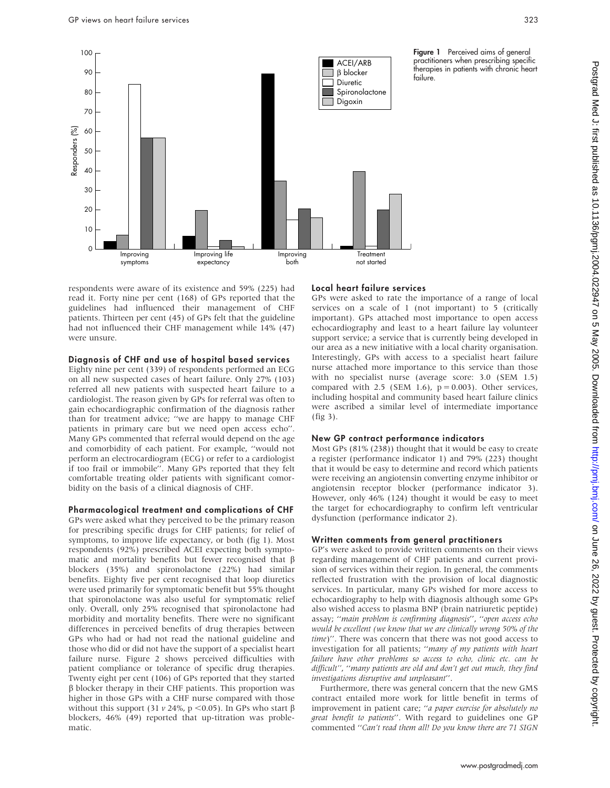

respondents were aware of its existence and 59% (225) had read it. Forty nine per cent (168) of GPs reported that the guidelines had influenced their management of CHF patients. Thirteen per cent (45) of GPs felt that the guideline had not influenced their CHF management while 14% (47) were unsure.

#### Diagnosis of CHF and use of hospital based services

Eighty nine per cent (339) of respondents performed an ECG on all new suspected cases of heart failure. Only 27% (103) referred all new patients with suspected heart failure to a cardiologist. The reason given by GPs for referral was often to gain echocardiographic confirmation of the diagnosis rather than for treatment advice; ''we are happy to manage CHF patients in primary care but we need open access echo''. Many GPs commented that referral would depend on the age and comorbidity of each patient. For example, ''would not perform an electrocardiogram (ECG) or refer to a cardiologist if too frail or immobile''. Many GPs reported that they felt comfortable treating older patients with significant comorbidity on the basis of a clinical diagnosis of CHF.

#### Pharmacological treatment and complications of CHF

GPs were asked what they perceived to be the primary reason for prescribing specific drugs for CHF patients; for relief of symptoms, to improve life expectancy, or both (fig 1). Most respondents (92%) prescribed ACEI expecting both symptomatic and mortality benefits but fewer recognised that  $\beta$ blockers (35%) and spironolactone (22%) had similar benefits. Eighty five per cent recognised that loop diuretics were used primarily for symptomatic benefit but 55% thought that spironolactone was also useful for symptomatic relief only. Overall, only 25% recognised that spironolactone had morbidity and mortality benefits. There were no significant differences in perceived benefits of drug therapies between GPs who had or had not read the national guideline and those who did or did not have the support of a specialist heart failure nurse. Figure 2 shows perceived difficulties with patient compliance or tolerance of specific drug therapies. Twenty eight per cent (106) of GPs reported that they started  $\beta$  blocker therapy in their CHF patients. This proportion was higher in those GPs with a CHF nurse compared with those without this support (31  $\nu$  24%, p <0.05). In GPs who start  $\beta$ blockers, 46% (49) reported that up-titration was problematic.

#### Local heart failure services

GPs were asked to rate the importance of a range of local services on a scale of 1 (not important) to 5 (critically important). GPs attached most importance to open access echocardiography and least to a heart failure lay volunteer support service; a service that is currently being developed in our area as a new initiative with a local charity organisation. Interestingly, GPs with access to a specialist heart failure nurse attached more importance to this service than those with no specialist nurse (average score: 3.0 (SEM 1.5) compared with 2.5 (SEM 1.6),  $p = 0.003$ ). Other services, including hospital and community based heart failure clinics were ascribed a similar level of intermediate importance (fig 3).

#### New GP contract performance indicators

Most GPs (81% (238)) thought that it would be easy to create a register (performance indicator 1) and 79% (223) thought that it would be easy to determine and record which patients were receiving an angiotensin converting enzyme inhibitor or angiotensin receptor blocker (performance indicator 3). However, only 46% (124) thought it would be easy to meet the target for echocardiography to confirm left ventricular dysfunction (performance indicator 2).

#### Written comments from general practitioners

GP's were asked to provide written comments on their views regarding management of CHF patients and current provision of services within their region. In general, the comments reflected frustration with the provision of local diagnostic services. In particular, many GPs wished for more access to echocardiography to help with diagnosis although some GPs also wished access to plasma BNP (brain natriuretic peptide) assay; ''main problem is confirming diagnosis'', ''open access echo would be excellent (we know that we are clinically wrong 50% of the time)''. There was concern that there was not good access to investigation for all patients; ''many of my patients with heart failure have other problems so access to echo, clinic etc. can be difficult'', ''many patients are old and don't get out much, they find investigations disruptive and unpleasant''.

Furthermore, there was general concern that the new GMS contract entailed more work for little benefit in terms of improvement in patient care; ''a paper exercise for absolutely no great benefit to patients''. With regard to guidelines one GP commented ''Can't read them all! Do you know there are 71 SIGN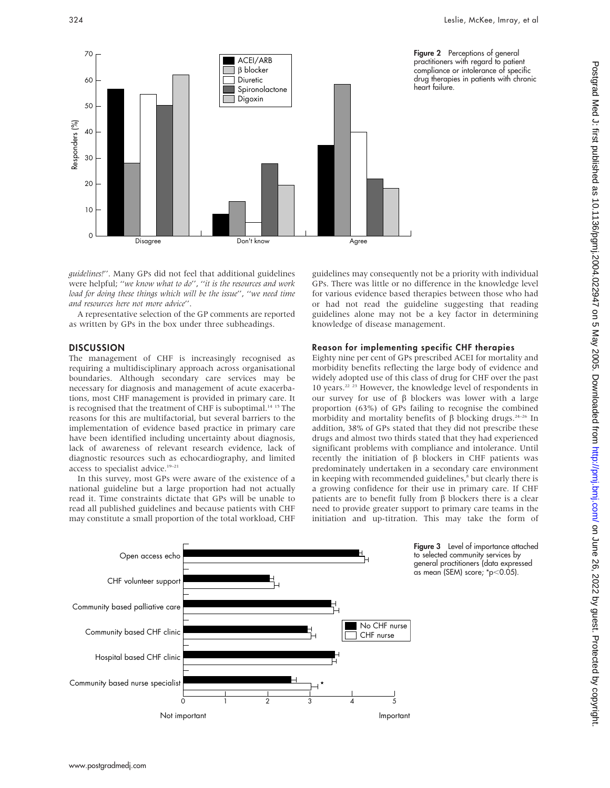

Figure 2 Perceptions of general practitioners with regard to patient compliance or intolerance of specific drug therapies in patients with chronic heart failure.

guidelines!''. Many GPs did not feel that additional guidelines were helpful; "we know what to do", "it is the resources and work load for doing these things which will be the issue'', ''we need time and resources here not more advice''.

A representative selection of the GP comments are reported as written by GPs in the box under three subheadings.

#### **DISCUSSION**

The management of CHF is increasingly recognised as requiring a multidisciplinary approach across organisational boundaries. Although secondary care services may be necessary for diagnosis and management of acute exacerbations, most CHF management is provided in primary care. It is recognised that the treatment of CHF is suboptimal.<sup>14</sup> <sup>15</sup> The reasons for this are multifactorial, but several barriers to the implementation of evidence based practice in primary care have been identified including uncertainty about diagnosis, lack of awareness of relevant research evidence, lack of diagnostic resources such as echocardiography, and limited access to specialist advice.<sup>19-21</sup>

In this survey, most GPs were aware of the existence of a national guideline but a large proportion had not actually read it. Time constraints dictate that GPs will be unable to read all published guidelines and because patients with CHF may constitute a small proportion of the total workload, CHF guidelines may consequently not be a priority with individual GPs. There was little or no difference in the knowledge level for various evidence based therapies between those who had or had not read the guideline suggesting that reading guidelines alone may not be a key factor in determining knowledge of disease management.

#### Reason for implementing specific CHF therapies

Eighty nine per cent of GPs prescribed ACEI for mortality and morbidity benefits reflecting the large body of evidence and widely adopted use of this class of drug for CHF over the past 10 years.22 23 However, the knowledge level of respondents in our survey for use of  $\beta$  blockers was lower with a large proportion (63%) of GPs failing to recognise the combined morbidity and mortality benefits of  $\beta$  blocking drugs.<sup>24–26</sup> In addition, 38% of GPs stated that they did not prescribe these drugs and almost two thirds stated that they had experienced significant problems with compliance and intolerance. Until recently the initiation of  $\beta$  blockers in CHF patients was predominately undertaken in a secondary care environment in keeping with recommended guidelines,<sup>8</sup> but clearly there is a growing confidence for their use in primary care. If CHF patients are to benefit fully from  $\beta$  blockers there is a clear need to provide greater support to primary care teams in the initiation and up-titration. This may take the form of



Figure 3 Level of importance attached to selected community services by general practitioners (data expressed as mean (SEM) score;  $p$ <0.05).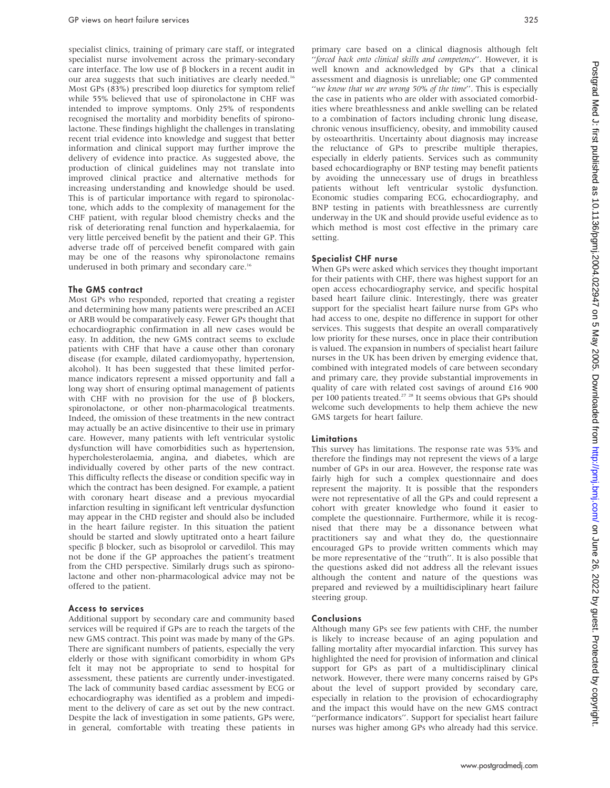specialist clinics, training of primary care staff, or integrated specialist nurse involvement across the primary-secondary care interface. The low use of  $\beta$  blockers in a recent audit in our area suggests that such initiatives are clearly needed.<sup>16</sup> Most GPs (83%) prescribed loop diuretics for symptom relief while 55% believed that use of spironolactone in CHF was intended to improve symptoms. Only 25% of respondents recognised the mortality and morbidity benefits of spironolactone. These findings highlight the challenges in translating recent trial evidence into knowledge and suggest that better information and clinical support may further improve the delivery of evidence into practice. As suggested above, the production of clinical guidelines may not translate into improved clinical practice and alternative methods for increasing understanding and knowledge should be used. This is of particular importance with regard to spironolactone, which adds to the complexity of management for the CHF patient, with regular blood chemistry checks and the risk of deteriorating renal function and hyperkalaemia, for very little perceived benefit by the patient and their GP. This adverse trade off of perceived benefit compared with gain may be one of the reasons why spironolactone remains underused in both primary and secondary care.<sup>16</sup>

#### The GMS contract

Most GPs who responded, reported that creating a register and determining how many patients were prescribed an ACEI or ARB would be comparatively easy. Fewer GPs thought that echocardiographic confirmation in all new cases would be easy. In addition, the new GMS contract seems to exclude patients with CHF that have a cause other than coronary disease (for example, dilated cardiomyopathy, hypertension, alcohol). It has been suggested that these limited performance indicators represent a missed opportunity and fall a long way short of ensuring optimal management of patients with CHF with no provision for the use of  $\beta$  blockers, spironolactone, or other non-pharmacological treatments. Indeed, the omission of these treatments in the new contract may actually be an active disincentive to their use in primary care. However, many patients with left ventricular systolic dysfunction will have comorbidities such as hypertension, hypercholesterolaemia, angina, and diabetes, which are individually covered by other parts of the new contract. This difficulty reflects the disease or condition specific way in which the contract has been designed. For example, a patient with coronary heart disease and a previous myocardial infarction resulting in significant left ventricular dysfunction may appear in the CHD register and should also be included in the heart failure register. In this situation the patient should be started and slowly uptitrated onto a heart failure specific  $\beta$  blocker, such as bisoprolol or carvedilol. This may not be done if the GP approaches the patient's treatment from the CHD perspective. Similarly drugs such as spironolactone and other non-pharmacological advice may not be offered to the patient.

#### Access to services

Additional support by secondary care and community based services will be required if GPs are to reach the targets of the new GMS contract. This point was made by many of the GPs. There are significant numbers of patients, especially the very elderly or those with significant comorbidity in whom GPs felt it may not be appropriate to send to hospital for assessment, these patients are currently under-investigated. The lack of community based cardiac assessment by ECG or echocardiography was identified as a problem and impediment to the delivery of care as set out by the new contract. Despite the lack of investigation in some patients, GPs were, in general, comfortable with treating these patients in primary care based on a clinical diagnosis although felt ''forced back onto clinical skills and competence''. However, it is well known and acknowledged by GPs that a clinical assessment and diagnosis is unreliable; one GP commented "we know that we are wrong 50% of the time". This is especially the case in patients who are older with associated comorbidities where breathlessness and ankle swelling can be related to a combination of factors including chronic lung disease, chronic venous insufficiency, obesity, and immobility caused by osteoarthritis. Uncertainty about diagnosis may increase the reluctance of GPs to prescribe multiple therapies, especially in elderly patients. Services such as community based echocardiography or BNP testing may benefit patients by avoiding the unnecessary use of drugs in breathless patients without left ventricular systolic dysfunction. Economic studies comparing ECG, echocardiography, and BNP testing in patients with breathlessness are currently underway in the UK and should provide useful evidence as to which method is most cost effective in the primary care setting.

#### Specialist CHF nurse

When GPs were asked which services they thought important for their patients with CHF, there was highest support for an open access echocardiography service, and specific hospital based heart failure clinic. Interestingly, there was greater support for the specialist heart failure nurse from GPs who had access to one, despite no difference in support for other services. This suggests that despite an overall comparatively low priority for these nurses, once in place their contribution is valued. The expansion in numbers of specialist heart failure nurses in the UK has been driven by emerging evidence that, combined with integrated models of care between secondary and primary care, they provide substantial improvements in quality of care with related cost savings of around £16 900 per 100 patients treated.<sup>27</sup> <sup>28</sup> It seems obvious that GPs should welcome such developments to help them achieve the new GMS targets for heart failure.

#### Limitations

This survey has limitations. The response rate was 53% and therefore the findings may not represent the views of a large number of GPs in our area. However, the response rate was fairly high for such a complex questionnaire and does represent the majority. It is possible that the responders were not representative of all the GPs and could represent a cohort with greater knowledge who found it easier to complete the questionnaire. Furthermore, while it is recognised that there may be a dissonance between what practitioners say and what they do, the questionnaire encouraged GPs to provide written comments which may be more representative of the ''truth''. It is also possible that the questions asked did not address all the relevant issues although the content and nature of the questions was prepared and reviewed by a muiltidisciplinary heart failure steering group.

#### Conclusions

Although many GPs see few patients with CHF, the number is likely to increase because of an aging population and falling mortality after myocardial infarction. This survey has highlighted the need for provision of information and clinical support for GPs as part of a multidisciplinary clinical network. However, there were many concerns raised by GPs about the level of support provided by secondary care, especially in relation to the provision of echocardiography and the impact this would have on the new GMS contract ''performance indicators''. Support for specialist heart failure nurses was higher among GPs who already had this service.